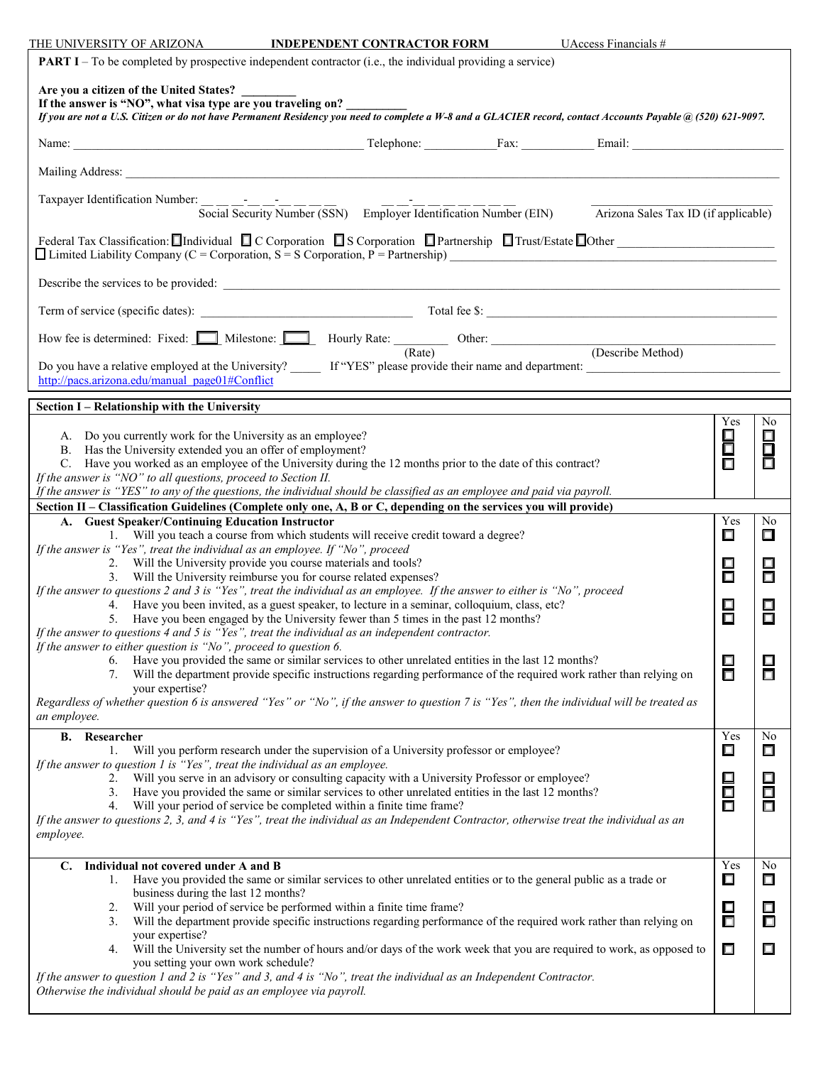THE UNIVERSITY OF ARIZONA **INDEPENDENT CONTRACTOR FORM** UAccess Financials #

| <b>PART I</b> – To be completed by prospective independent contractor (i.e., the individual providing a service)                                                                                                                                                       |             |                  |  |  |  |
|------------------------------------------------------------------------------------------------------------------------------------------------------------------------------------------------------------------------------------------------------------------------|-------------|------------------|--|--|--|
| Are you a citizen of the United States?<br>If the answer is "NO", what visa type are you traveling on?<br>If you are not a U.S. Citizen or do not have Permanent Residency you need to complete a W-8 and a GLACIER record, contact Accounts Payable @ (520) 621-9097. |             |                  |  |  |  |
|                                                                                                                                                                                                                                                                        |             |                  |  |  |  |
|                                                                                                                                                                                                                                                                        |             |                  |  |  |  |
|                                                                                                                                                                                                                                                                        |             |                  |  |  |  |
| Taxpayer Identification Number: Social Security Number (SSN) Employer Identification Number (EIN)<br>Arizona Sales Tax ID (if applicable)                                                                                                                              |             |                  |  |  |  |
| Federal Tax Classification: Individual C C Corporation IS Corporation Partnership Trust/Estate Other<br>$\Box$ Limited Liability Company (C = Corporation, S = S Corporation, P = Partnership)                                                                         |             |                  |  |  |  |
|                                                                                                                                                                                                                                                                        |             |                  |  |  |  |
|                                                                                                                                                                                                                                                                        |             |                  |  |  |  |
| How fee is determined: Fixed: Milestone: Milestone: Hourly Rate: (Rate) Other: (Describe Method)                                                                                                                                                                       |             |                  |  |  |  |
| http://pacs.arizona.edu/manual page01#Conflict                                                                                                                                                                                                                         |             |                  |  |  |  |
| Section I – Relationship with the University                                                                                                                                                                                                                           |             |                  |  |  |  |
| A. Do you currently work for the University as an employee?                                                                                                                                                                                                            | Yes<br>◻    | No<br>$\Box$     |  |  |  |
| B. Has the University extended you an offer of employment?<br>C. Have you worked as an employee of the University during the 12 months prior to the date of this contract?                                                                                             | Ō<br>$\Box$ | $\Box$<br>Ō      |  |  |  |
| If the answer is "NO" to all questions, proceed to Section II.<br>If the answer is "YES" to any of the questions, the individual should be classified as an employee and paid via payroll.                                                                             |             |                  |  |  |  |
| Section II – Classification Guidelines (Complete only one, A, B or C, depending on the services you will provide)<br>A. Guest Speaker/Continuing Education Instructor<br>Yes<br>No                                                                                     |             |                  |  |  |  |
| 1. Will you teach a course from which students will receive credit toward a degree?<br>If the answer is "Yes", treat the individual as an employee. If "No", proceed                                                                                                   | $\Box$      | $\Box$           |  |  |  |
| 2. Will the University provide you course materials and tools?                                                                                                                                                                                                         |             |                  |  |  |  |
| 3. Will the University reimburse you for course related expenses?<br>If the answer to questions 2 and 3 is "Yes", treat the individual as an employee. If the answer to either is "No", proceed                                                                        |             |                  |  |  |  |
| 4. Have you been invited, as a guest speaker, to lecture in a seminar, colloquium, class, etc?<br>5. Have you been engaged by the University fewer than 5 times in the past 12 months?                                                                                 |             |                  |  |  |  |
| If the answer to questions $4$ and $5$ is "Yes", treat the individual as an independent contractor.<br>If the answer to either question is "No", proceed to question 6.                                                                                                |             |                  |  |  |  |
| Have you provided the same or similar services to other unrelated entities in the last 12 months?<br>6.<br>Will the department provide specific instructions regarding performance of the required work rather than relying on<br>7.                                   | 日口          | ⊡<br>$\Box$      |  |  |  |
| your expertise?                                                                                                                                                                                                                                                        |             |                  |  |  |  |
| Regardless of whether question 6 is answered "Yes" or "No", if the answer to question 7 is "Yes", then the individual will be treated as<br>an employee.                                                                                                               |             |                  |  |  |  |
| Researcher<br>В.<br>Will you perform research under the supervision of a University professor or employee?<br>1.                                                                                                                                                       | Yes<br>◻    | No<br>$\Box$     |  |  |  |
| If the answer to question $1$ is "Yes", treat the individual as an employee.<br>Will you serve in an advisory or consulting capacity with a University Professor or employee?                                                                                          |             |                  |  |  |  |
| 2.<br>Have you provided the same or similar services to other unrelated entities in the last 12 months?<br>3.                                                                                                                                                          | 目口          | $\Box$<br>$\Box$ |  |  |  |
| Will your period of service be completed within a finite time frame?<br>4.<br>If the answer to questions 2, 3, and 4 is "Yes", treat the individual as an Independent Contractor, otherwise treat the individual as an                                                 | $\Box$      | $\Box$           |  |  |  |
| employee.                                                                                                                                                                                                                                                              |             |                  |  |  |  |
| Individual not covered under A and B<br>$\mathbf{C}$ .<br>Have you provided the same or similar services to other unrelated entities or to the general public as a trade or                                                                                            | Yes<br>◻    | No<br>$\Box$     |  |  |  |
| business during the last 12 months?<br>Will your period of service be performed within a finite time frame?<br>2.                                                                                                                                                      | 口           | □                |  |  |  |
| Will the department provide specific instructions regarding performance of the required work rather than relying on<br>3.<br>your expertise?                                                                                                                           | $\Box$      | ◘                |  |  |  |
| Will the University set the number of hours and/or days of the work week that you are required to work, as opposed to<br>4.                                                                                                                                            | $\Box$      | $\Box$           |  |  |  |
| you setting your own work schedule?<br>If the answer to question 1 and 2 is "Yes" and 3, and 4 is "No", treat the individual as an Independent Contractor.                                                                                                             |             |                  |  |  |  |
| Otherwise the individual should be paid as an employee via payroll.                                                                                                                                                                                                    |             |                  |  |  |  |